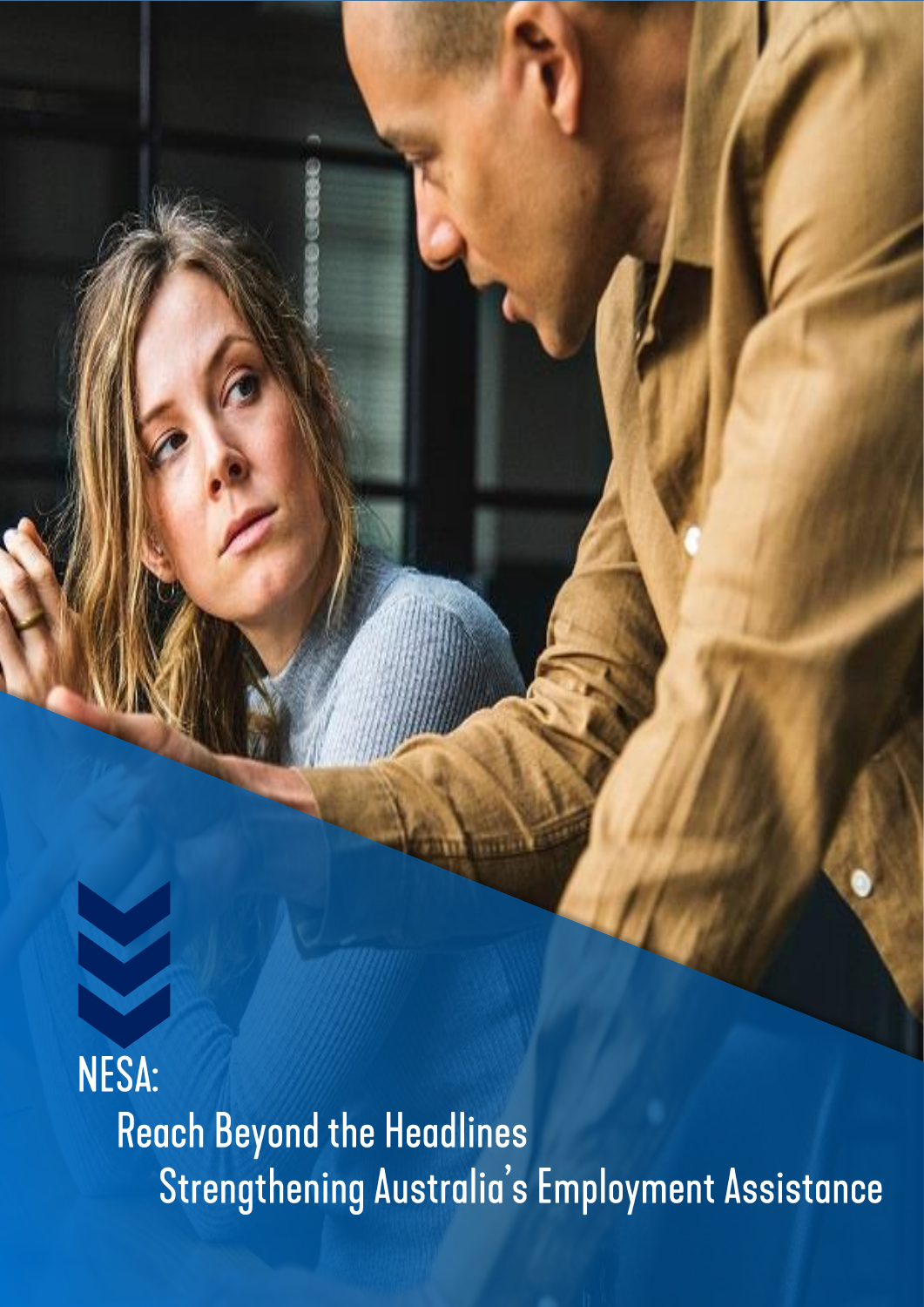NESA: **Reach Beyond the Headlines** Strengthening Australia's Employment Assistance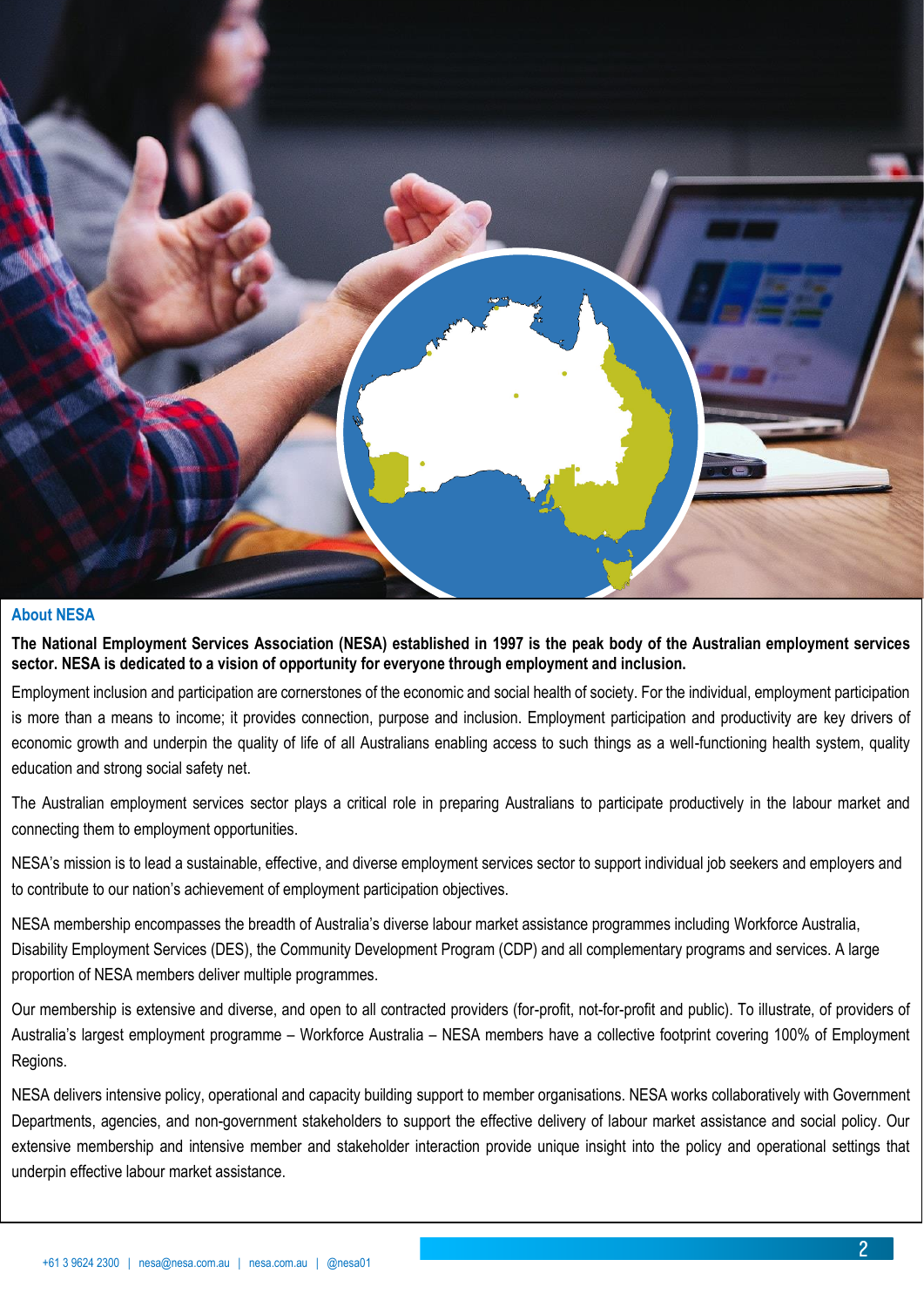

### **About NESA**

**The National Employment Services Association (NESA) established in 1997 is the peak body of the Australian employment services sector. NESA is dedicated to a vision of opportunity for everyone through employment and inclusion.** 

Employment inclusion and participation are cornerstones of the economic and social health of society. For the individual, employment participation is more than a means to income; it provides connection, purpose and inclusion. Employment participation and productivity are key drivers of economic growth and underpin the quality of life of all Australians enabling access to such things as a well-functioning health system, quality education and strong social safety net.

The Australian employment services sector plays a critical role in preparing Australians to participate productively in the labour market and connecting them to employment opportunities.

NESA's mission is to lead a sustainable, effective, and diverse employment services sector to support individual job seekers and employers and to contribute to our nation's achievement of employment participation objectives.

NESA membership encompasses the breadth of Australia's diverse labour market assistance programmes including Workforce Australia, Disability Employment Services (DES), the Community Development Program (CDP) and all complementary programs and services. A large proportion of NESA members deliver multiple programmes.

Our membership is extensive and diverse, and open to all contracted providers (for-profit, not-for-profit and public). To illustrate, of providers of Australia's largest employment programme – Workforce Australia – NESA members have a collective footprint covering 100% of Employment Regions.

NESA delivers intensive policy, operational and capacity building support to member organisations. NESA works collaboratively with Government Departments, agencies, and non-government stakeholders to support the effective delivery of labour market assistance and social policy. Our extensive membership and intensive member and stakeholder interaction provide unique insight into the policy and operational settings that underpin effective labour market assistance.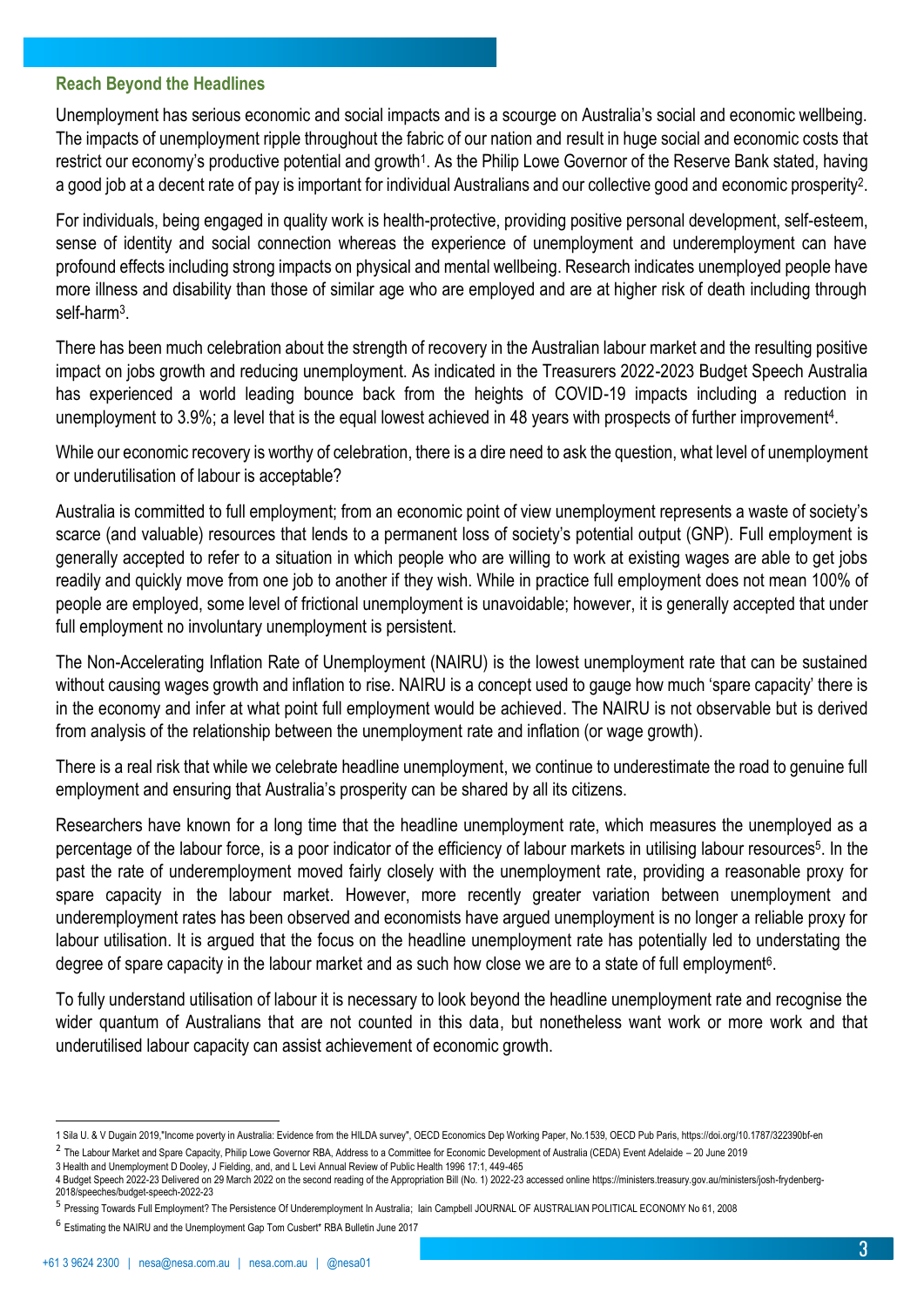### **Reach Beyond the Headlines**

Unemployment has serious economic and social impacts and is a scourge on Australia's social and economic wellbeing. The impacts of unemployment ripple throughout the fabric of our nation and result in huge social and economic costs that restrict our economy's productive potential and growth<sup>1</sup>. As the Philip Lowe Governor of the Reserve Bank stated, having a good job at a decent rate of pay is important for individual Australians and our collective good and economic prosperity<sup>2</sup>.

For individuals, being engaged in quality work is health-protective, providing positive personal development, self-esteem, sense of identity and social connection whereas the experience of unemployment and underemployment can have profound effects including strong impacts on physical and mental wellbeing. Research indicates unemployed people have more illness and disability than those of similar age who are employed and are at higher risk of death including through self-harm<sup>3</sup>.

There has been much celebration about the strength of recovery in the Australian labour market and the resulting positive impact on jobs growth and reducing unemployment. As indicated in the Treasurers 2022-2023 Budget Speech Australia has experienced a world leading bounce back from the heights of COVID-19 impacts including a reduction in unemployment to 3.9%; a level that is the equal lowest achieved in 48 years with prospects of further improvement<sup>4</sup>.

While our economic recovery is worthy of celebration, there is a dire need to ask the question, what level of unemployment or underutilisation of labour is acceptable?

Australia is committed to full employment; from an economic point of view unemployment represents a waste of society's scarce (and valuable) resources that lends to a permanent loss of society's potential output (GNP). Full employment is generally accepted to refer to a situation in which people who are willing to work at existing wages are able to get jobs readily and quickly move from one job to another if they wish. While in practice full employment does not mean 100% of people are employed, some level of frictional unemployment is unavoidable; however, it is generally accepted that under full employment no involuntary unemployment is persistent.

The Non-Accelerating Inflation Rate of Unemployment (NAIRU) is the lowest unemployment rate that can be sustained without causing wages growth and inflation to rise. NAIRU is a concept used to gauge how much 'spare capacity' there is in the economy and infer at what point full employment would be achieved. The NAIRU is not observable but is derived from analysis of the relationship between the unemployment rate and inflation (or wage growth).

There is a real risk that while we celebrate headline unemployment, we continue to underestimate the road to genuine full employment and ensuring that Australia's prosperity can be shared by all its citizens.

Researchers have known for a long time that the headline unemployment rate, which measures the unemployed as a percentage of the labour force, is a poor indicator of the efficiency of labour markets in utilising labour resources<sup>5</sup>. In the past the rate of underemployment moved fairly closely with the unemployment rate, providing a reasonable proxy for spare capacity in the labour market. However, more recently greater variation between unemployment and underemployment rates has been observed and economists have argued unemployment is no longer a reliable proxy for labour utilisation. It is argued that the focus on the headline unemployment rate has potentially led to understating the degree of spare capacity in the labour market and as such how close we are to a state of full employment<sup>6</sup>.

To fully understand utilisation of labour it is necessary to look beyond the headline unemployment rate and recognise the wider quantum of Australians that are not counted in this data, but nonetheless want work or more work and that underutilised labour capacity can assist achievement of economic growth.

 $^2$  The Labour Market and Spare Capacity, Philip Lowe Governor RBA, Address to a Committee for Economic Development of Australia (CEDA) Event Adelaide – 20 June 2019

<sup>1</sup> Sila U. & V Dugain 2019,"Income poverty in Australia: Evidence from the HILDA survey", OECD Economics Dep Working Paper, No.1539, OECD Pub Paris, https://doi.org/10.1787/322390bf-en

<sup>3</sup> Health and Unemployment D Dooley, J Fielding, and, and L Levi Annual Review of Public Health 1996 17:1, 449-465

<sup>4</sup> Budget Speech 2022-23 Delivered on 29 March 2022 on the second reading of the Appropriation Bill (No. 1) 2022-23 accessed online https://ministers.treasury.gov.au/ministers/josh-frydenberg-2018/speeches/budget-speech-2022-23

<sup>&</sup>lt;sup>5</sup> Pressing Towards Full Employment? The Persistence Of Underemployment In Australia; Iain Campbell JOURNAL OF AUSTRALIAN POLITICAL ECONOMY No 61, 2008

<sup>6</sup> Estimating the NAIRU and the Unemployment Gap Tom Cusbert\* RBA Bulletin June 2017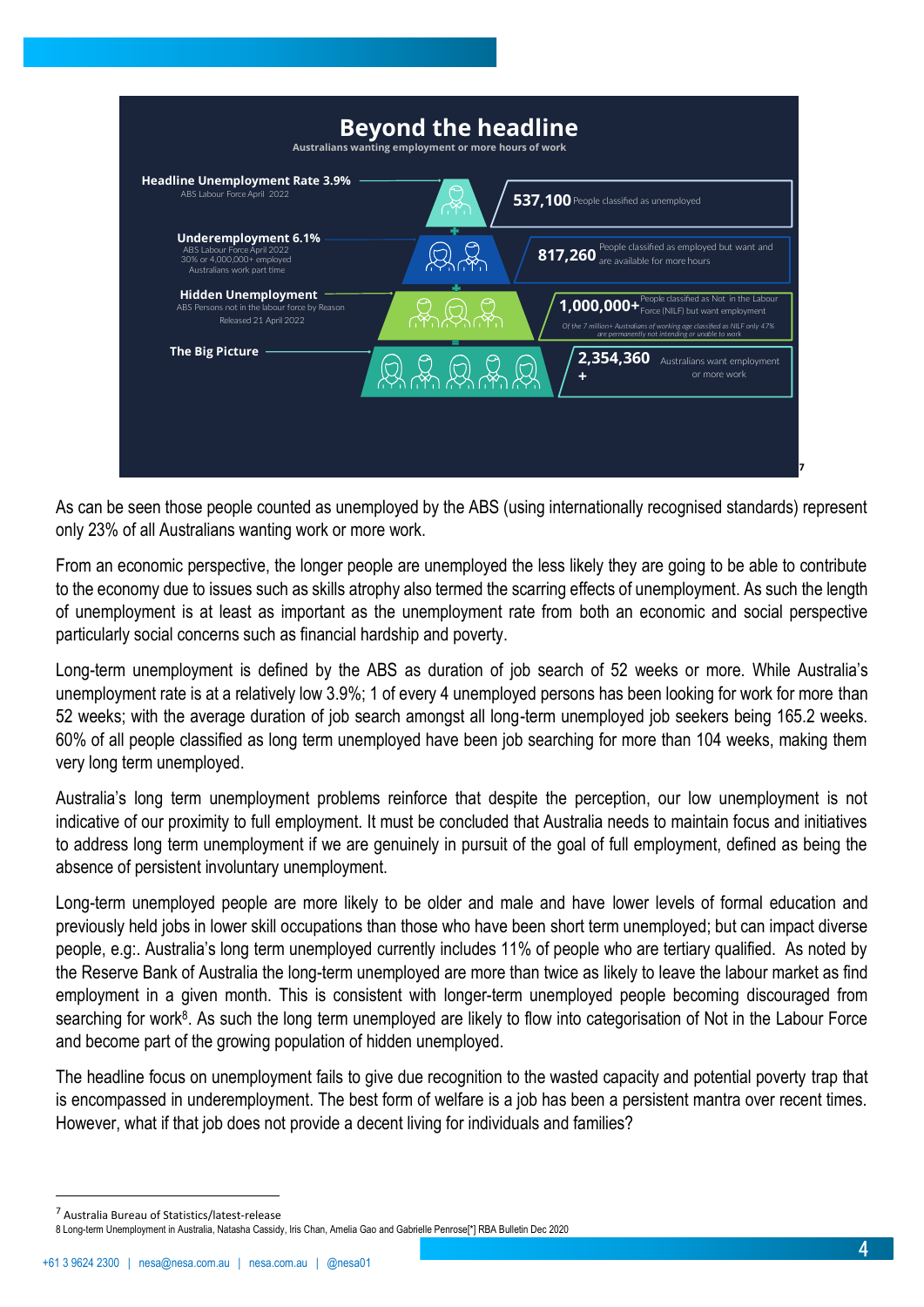

As can be seen those people counted as unemployed by the ABS (using internationally recognised standards) represent only 23% of all Australians wanting work or more work.

From an economic perspective, the longer people are unemployed the less likely they are going to be able to contribute to the economy due to issues such as skills atrophy also termed the scarring effects of unemployment. As such the length of unemployment is at least as important as the unemployment rate from both an economic and social perspective particularly social concerns such as financial hardship and poverty.

Long-term unemployment is defined by the ABS as duration of job search of 52 weeks or more. While Australia's unemployment rate is at a relatively low 3.9%; 1 of every 4 unemployed persons has been looking for work for more than 52 weeks; with the average duration of job search amongst all long-term unemployed job seekers being 165.2 weeks. 60% of all people classified as long term unemployed have been job searching for more than 104 weeks, making them very long term unemployed.

Australia's long term unemployment problems reinforce that despite the perception, our low unemployment is not indicative of our proximity to full employment. It must be concluded that Australia needs to maintain focus and initiatives to address long term unemployment if we are genuinely in pursuit of the goal of full employment, defined as being the absence of persistent involuntary unemployment.

Long-term unemployed people are more likely to be older and male and have lower levels of formal education and previously held jobs in lower skill occupations than those who have been short term unemployed; but can impact diverse people, e.g:. Australia's long term unemployed currently includes 11% of people who are tertiary qualified. As noted by the Reserve Bank of Australia the long-term unemployed are more than twice as likely to leave the labour market as find employment in a given month. This is consistent with longer-term unemployed people becoming discouraged from searching for work<sup>8</sup>. As such the long term unemployed are likely to flow into categorisation of Not in the Labour Force and become part of the growing population of hidden unemployed.

The headline focus on unemployment fails to give due recognition to the wasted capacity and potential poverty trap that is encompassed in underemployment. The best form of welfare is a job has been a persistent mantra over recent times. However, what if that job does not provide a decent living for individuals and families?

<sup>7</sup> Australia Bureau of Statistics/latest-release

<sup>8</sup> Long-term Unemployment in Australia, Natasha Cassidy, Iris Chan, Amelia Gao and Gabrielle Penrose[\*] RBA Bulletin Dec 2020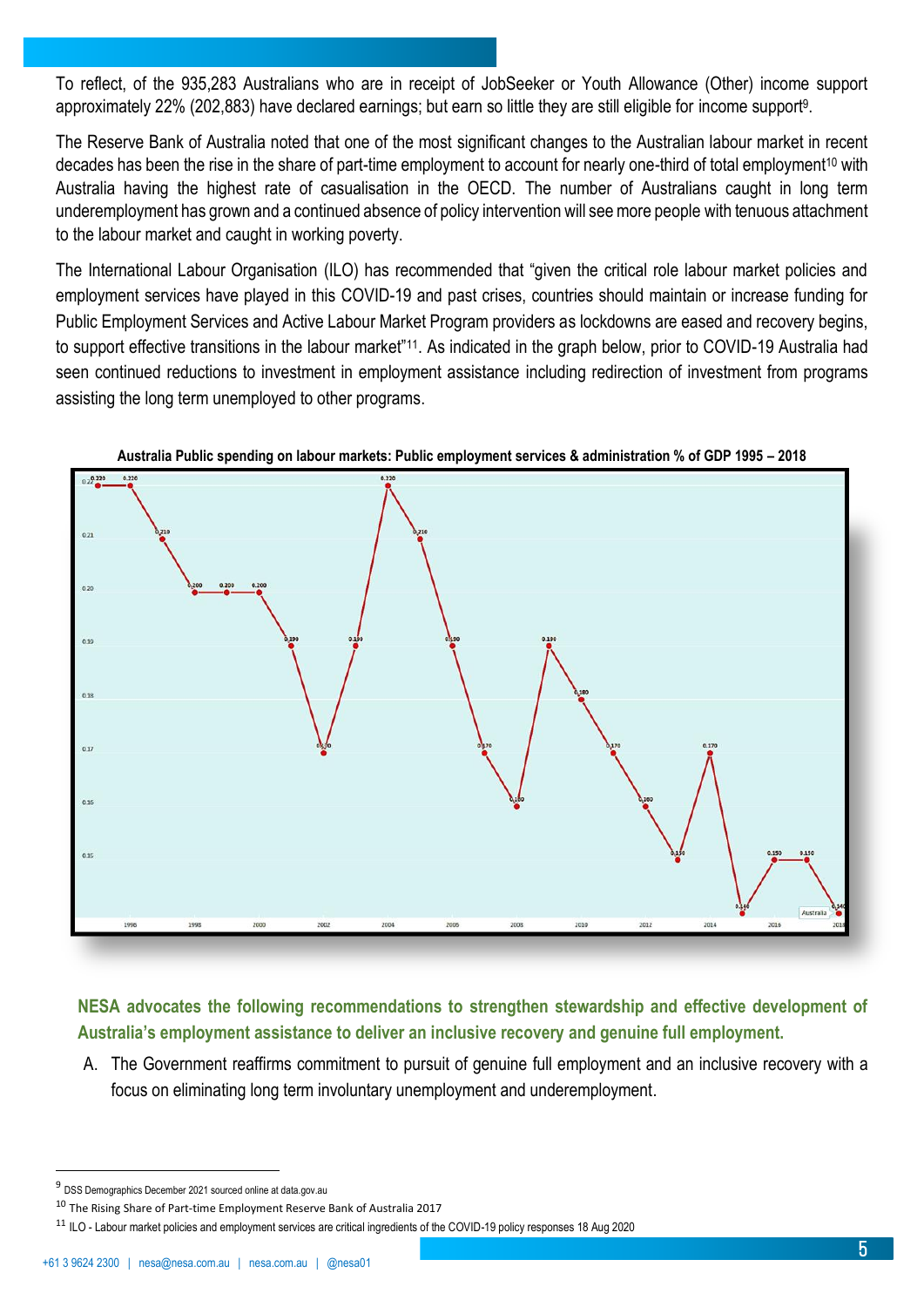To reflect, of the 935,283 Australians who are in receipt of JobSeeker or Youth Allowance (Other) income support approximately 22% (202,883) have declared earnings; but earn so little they are still eligible for income support<sup>9</sup> .

The Reserve Bank of Australia noted that one of the most significant changes to the Australian labour market in recent decades has been the rise in the share of part-time employment to account for nearly one-third of total employment<sup>10</sup> with Australia having the highest rate of casualisation in the OECD. The number of Australians caught in long term underemployment has grown and a continued absence of policy intervention will see more people with tenuous attachment to the labour market and caught in working poverty.

The International Labour Organisation (ILO) has recommended that "given the critical role labour market policies and employment services have played in this COVID-19 and past crises, countries should maintain or increase funding for Public Employment Services and Active Labour Market Program providers as lockdowns are eased and recovery begins, to support effective transitions in the labour market"<sup>11</sup>. As indicated in the graph below, prior to COVID-19 Australia had seen continued reductions to investment in employment assistance including redirection of investment from programs assisting the long term unemployed to other programs.





## **NESA advocates the following recommendations to strengthen stewardship and effective development of Australia's employment assistance to deliver an inclusive recovery and genuine full employment.**

A. The Government reaffirms commitment to pursuit of genuine full employment and an inclusive recovery with a focus on eliminating long term involuntary unemployment and underemployment.

<sup>&</sup>lt;sup>9</sup> DSS Demographics December 2021 sourced online at data.gov.au

 $10$  The Rising Share of Part-time Employment Reserve Bank of Australia 2017

<sup>&</sup>lt;sup>11</sup> ILO - Labour market policies and employment services are critical ingredients of the COVID-19 policy responses 18 Aug 2020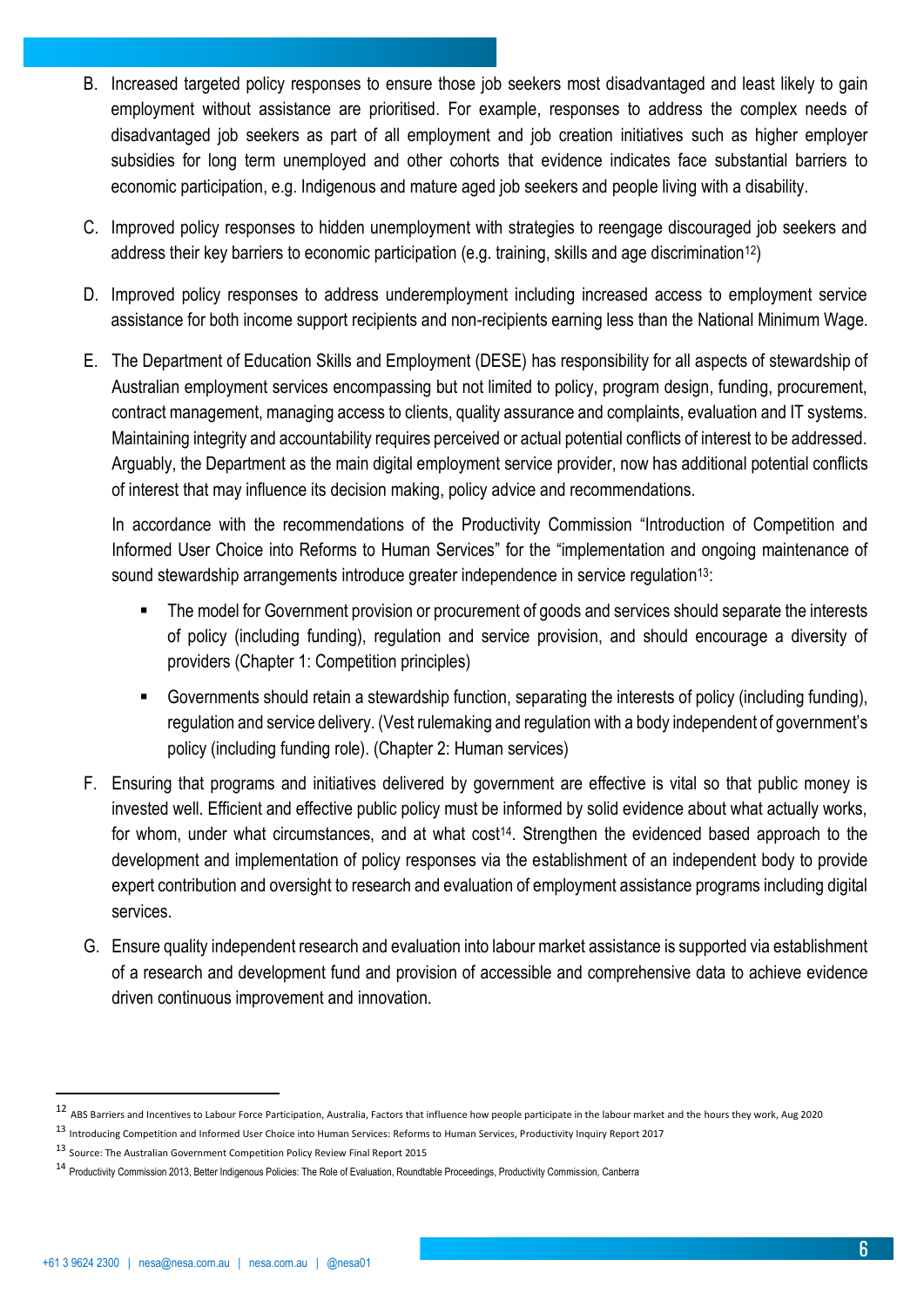- B. Increased targeted policy responses to ensure those job seekers most disadvantaged and least likely to gain employment without assistance are prioritised. For example, responses to address the complex needs of disadvantaged job seekers as part of all employment and job creation initiatives such as higher employer subsidies for long term unemployed and other cohorts that evidence indicates face substantial barriers to economic participation, e.g. Indigenous and mature aged job seekers and people living with a disability.
- C. Improved policy responses to hidden unemployment with strategies to reengage discouraged job seekers and address their key barriers to economic participation (e.g. training, skills and age discrimination<sup>12</sup>)
- D. Improved policy responses to address underemployment including increased access to employment service assistance for both income support recipients and non-recipients earning less than the National Minimum Wage.
- E. The Department of Education Skills and Employment (DESE) has responsibility for all aspects of stewardship of Australian employment services encompassing but not limited to policy, program design, funding, procurement, contract management, managing access to clients, quality assurance and complaints, evaluation and IT systems. Maintaining integrity and accountability requires perceived or actual potential conflicts of interest to be addressed. Arguably, the Department as the main digital employment service provider, now has additional potential conflicts of interest that may influence its decision making, policy advice and recommendations.

In accordance with the recommendations of the Productivity Commission "Introduction of Competition and Informed User Choice into Reforms to Human Services" for the "implementation and ongoing maintenance of sound stewardship arrangements introduce greater independence in service regulation<sup>13</sup>:

- The model for Government provision or procurement of goods and services should separate the interests of policy (including funding), regulation and service provision, and should encourage a diversity of providers (Chapter 1: Competition principles)
- Governments should retain a stewardship function, separating the interests of policy (including funding), regulation and service delivery. (Vest rulemaking and regulation with a body independent of government's policy (including funding role). (Chapter 2: Human services)
- F. Ensuring that programs and initiatives delivered by government are effective is vital so that public money is invested well. Efficient and effective public policy must be informed by solid evidence about what actually works, for whom, under what circumstances, and at what cost<sup>14</sup>. Strengthen the evidenced based approach to the development and implementation of policy responses via the establishment of an independent body to provide expert contribution and oversight to research and evaluation of employment assistance programs including digital services.
- G. Ensure quality independent research and evaluation into labour market assistance is supported via establishment of a research and development fund and provision of accessible and comprehensive data to achieve evidence driven continuous improvement and innovation.

 $12$  ABS Barriers and Incentives to Labour Force Participation, Australia, Factors that influence how people participate in the labour market and the hours they work, Aug 2020

<sup>13</sup> Introducing Competition and Informed User Choice into Human Services: Reforms to Human Services, Productivity Inquiry Report 2017

<sup>13</sup> Source: The Australian Government Competition Policy Review Final Report 2015

<sup>14</sup> Productivity Commission 2013, Better Indigenous Policies: The Role of Evaluation, Roundtable Proceedings, Productivity Commission, Canberra